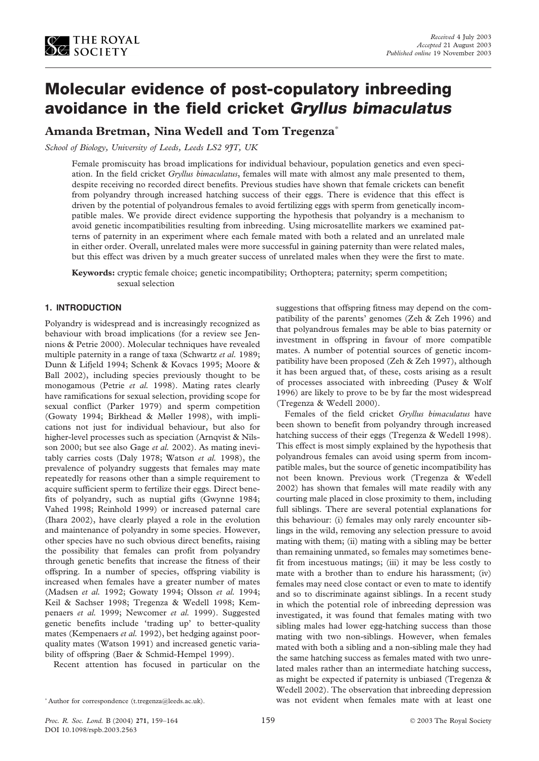

# **Molecular evidence of post-copulatory inbreeding avoidance in the field cricket Gryllus bimaculatus**

**Amanda Bretman, Nina Wedell and Tom Tregenza**\*

*School of Biology, University of Leeds, Leeds LS2 9JT, UK*

Female promiscuity has broad implications for individual behaviour, population genetics and even speciation. In the field cricket *Gryllus bimaculatus*, females will mate with almost any male presented to them, despite receiving no recorded direct benefits. Previous studies have shown that female crickets can benefit from polyandry through increased hatching success of their eggs. There is evidence that this effect is driven by the potential of polyandrous females to avoid fertilizing eggs with sperm from genetically incompatible males. We provide direct evidence supporting the hypothesis that polyandry is a mechanism to avoid genetic incompatibilities resulting from inbreeding. Using microsatellite markers we examined patterns of paternity in an experiment where each female mated with both a related and an unrelated male in either order. Overall, unrelated males were more successful in gaining paternity than were related males, but this effect was driven by a much greater success of unrelated males when they were the first to mate.

**Keywords:** cryptic female choice; genetic incompatibility; Orthoptera; paternity; sperm competition; sexual selection

# **1. INTRODUCTION**

Polyandry is widespread and is increasingly recognized as behaviour with broad implications (for a review see Jennions & Petrie 2000). Molecular techniques have revealed multiple paternity in a range of taxa (Schwartz *et al.* 1989; Dunn & Lifjeld 1994; Schenk & Kovacs 1995; Moore & Ball 2002), including species previously thought to be monogamous (Petrie *et al.* 1998). Mating rates clearly have ramifications for sexual selection, providing scope for sexual conflict (Parker 1979) and sperm competition (Gowaty 1994; Birkhead & Møller 1998), with implications not just for individual behaviour, but also for higher-level processes such as speciation (Arnqvist & Nilsson 2000; but see also Gage *et al.* 2002). As mating inevitably carries costs (Daly 1978; Watson *et al.* 1998), the prevalence of polyandry suggests that females may mate repeatedly for reasons other than a simple requirement to acquire sufficient sperm to fertilize their eggs. Direct benefits of polyandry, such as nuptial gifts (Gwynne 1984; Vahed 1998; Reinhold 1999) or increased paternal care (Ihara 2002), have clearly played a role in the evolution and maintenance of polyandry in some species. However, other species have no such obvious direct benefits, raising the possibility that females can profit from polyandry through genetic benefits that increase the fitness of their offspring. In a number of species, offspring viability is increased when females have a greater number of mates (Madsen *et al.* 1992; Gowaty 1994; Olsson *et al.* 1994; Keil & Sachser 1998; Tregenza & Wedell 1998; Kempenaers *et al.* 1999; Newcomer *et al.* 1999). Suggested genetic benefits include 'trading up' to better-quality mates (Kempenaers *et al.* 1992), bet hedging against poorquality mates (Watson 1991) and increased genetic variability of offspring (Baer & Schmid-Hempel 1999).

Recent attention has focused in particular on the

suggestions that offspring fitness may depend on the compatibility of the parents' genomes (Zeh & Zeh 1996) and that polyandrous females may be able to bias paternity or investment in offspring in favour of more compatible mates. A number of potential sources of genetic incompatibility have been proposed (Zeh & Zeh 1997), although it has been argued that, of these, costs arising as a result of processes associated with inbreeding (Pusey & Wolf 1996) are likely to prove to be by far the most widespread (Tregenza & Wedell 2000).

Females of the field cricket *Gryllus bimaculatus* have been shown to benefit from polyandry through increased hatching success of their eggs (Tregenza & Wedell 1998). This effect is most simply explained by the hypothesis that polyandrous females can avoid using sperm from incompatible males, but the source of genetic incompatibility has not been known. Previous work (Tregenza & Wedell 2002) has shown that females will mate readily with any courting male placed in close proximity to them, including full siblings. There are several potential explanations for this behaviour: (i) females may only rarely encounter siblings in the wild, removing any selection pressure to avoid mating with them; (ii) mating with a sibling may be better than remaining unmated, so females may sometimes benefit from incestuous matings; (iii) it may be less costly to mate with a brother than to endure his harassment; (iv) females may need close contact or even to mate to identify and so to discriminate against siblings. In a recent study in which the potential role of inbreeding depression was investigated, it was found that females mating with two sibling males had lower egg-hatching success than those mating with two non-siblings. However, when females mated with both a sibling and a non-sibling male they had the same hatching success as females mated with two unrelated males rather than an intermediate hatching success, as might be expected if paternity is unbiased (Tregenza & Wedell 2002). The observation that inbreeding depression was not evident when females mate with at least one

<sup>\*</sup> Author for correspondence (t.tregenza@leeds.ac.uk).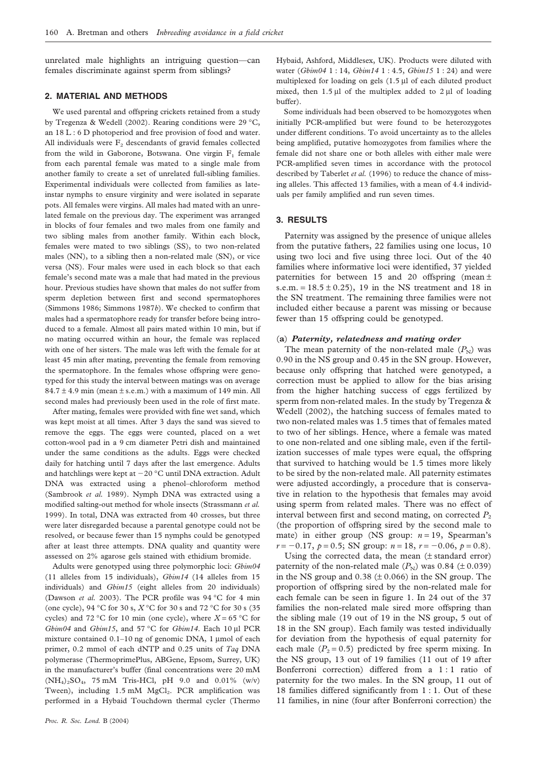unrelated male highlights an intriguing question—can females discriminate against sperm from siblings?

## **2. MATERIAL AND METHODS**

We used parental and offspring crickets retained from a study by Tregenza & Wedell (2002). Rearing conditions were 29 °C, an 18 L : 6 D photoperiod and free provision of food and water. All individuals were  $F_2$  descendants of gravid females collected from the wild in Gaborone, Botswana. One virgin  $F_1$  female from each parental female was mated to a single male from another family to create a set of unrelated full-sibling families. Experimental individuals were collected from families as lateinstar nymphs to ensure virginity and were isolated in separate pots. All females were virgins. All males had mated with an unrelated female on the previous day. The experiment was arranged in blocks of four females and two males from one family and two sibling males from another family. Within each block, females were mated to two siblings (SS), to two non-related males (NN), to a sibling then a non-related male (SN), or vice versa (NS). Four males were used in each block so that each female's second mate was a male that had mated in the previous hour. Previous studies have shown that males do not suffer from sperm depletion between first and second spermatophores (Simmons 1986; Simmons 1987*b*). We checked to confirm that males had a spermatophore ready for transfer before being introduced to a female. Almost all pairs mated within 10 min, but if no mating occurred within an hour, the female was replaced with one of her sisters. The male was left with the female for at least 45 min after mating, preventing the female from removing the spermatophore. In the females whose offspring were genotyped for this study the interval between matings was on average  $84.7 \pm 4.9$  min (mean  $\pm$  s.e.m.) with a maximum of 149 min. All second males had previously been used in the role of first mate.

After mating, females were provided with fine wet sand, which was kept moist at all times. After 3 days the sand was sieved to remove the eggs. The eggs were counted, placed on a wet cotton-wool pad in a 9 cm diameter Petri dish and maintained under the same conditions as the adults. Eggs were checked daily for hatching until 7 days after the last emergence. Adults and hatchlings were kept at  $-20$  °C until DNA extraction. Adult DNA was extracted using a phenol–chloroform method (Sambrook *et al.* 1989). Nymph DNA was extracted using a modified salting-out method for whole insects (Strassmann *et al.* 1999). In total, DNA was extracted from 40 crosses, but three were later disregarded because a parental genotype could not be resolved, or because fewer than 15 nymphs could be genotyped after at least three attempts. DNA quality and quantity were assessed on 2% agarose gels stained with ethidium bromide.

Adults were genotyped using three polymorphic loci: *Gbim04* (11 alleles from 15 individuals), *Gbim14* (14 alleles from 15 individuals) and *Gbim15* (eight alleles from 20 individuals) (Dawson *et al.* 2003). The PCR profile was 94 °C for 4 min (one cycle), 94 °C for 30 s, *X* °C for 30 s and 72 °C for 30 s (35 cycles) and 72 °C for 10 min (one cycle), where  $X = 65$  °C for *Gbim04* and *Gbim15*, and 57 °C for *Gbim14*. Each 10 µl PCR mixture contained 0.1–10 ng of genomic DNA, 1 µmol of each primer, 0.2 mmol of each dNTP and 0.25 units of *Taq* DNA polymerase (ThermoprimePlus, ABGene, Epsom, Surrey, UK) in the manufacturer's buffer (final concentrations were 20 mM  $(NH_4)_2SO_4$ , 75 mM Tris-HCl, pH 9.0 and 0.01% (w/v) Tween), including  $1.5 \text{ mM } MgCl_2$ . PCR amplification was performed in a Hybaid Touchdown thermal cycler (Thermo

Hybaid, Ashford, Middlesex, UK). Products were diluted with water (*Gbim04* 1 : 14, *Gbim14* 1 : 4.5, *Gbim15* 1 : 24) and were multiplexed for loading on gels (1.5 µl of each diluted product mixed, then 1.5 µl of the multiplex added to 2 µl of loading buffer).

Some individuals had been observed to be homozygotes when initially PCR-amplified but were found to be heterozygotes under different conditions. To avoid uncertainty as to the alleles being amplified, putative homozygotes from families where the female did not share one or both alleles with either male were PCR-amplified seven times in accordance with the protocol described by Taberlet *et al.* (1996) to reduce the chance of missing alleles. This affected 13 families, with a mean of 4.4 individuals per family amplified and run seven times.

# **3. RESULTS**

Paternity was assigned by the presence of unique alleles from the putative fathers, 22 families using one locus, 10 using two loci and five using three loci. Out of the 40 families where informative loci were identified, 37 yielded paternities for between 15 and 20 offspring (mean  $\pm$ s.e.m. =  $18.5 \pm 0.25$ , 19 in the NS treatment and 18 in the SN treatment. The remaining three families were not included either because a parent was missing or because fewer than 15 offspring could be genotyped.

#### (**a**) *Paternity, relatedness and mating order*

The mean paternity of the non-related male  $(P<sub>N</sub>)$  was 0.90 in the NS group and 0.45 in the SN group. However, because only offspring that hatched were genotyped, a correction must be applied to allow for the bias arising from the higher hatching success of eggs fertilized by sperm from non-related males. In the study by Tregenza & Wedell (2002), the hatching success of females mated to two non-related males was 1.5 times that of females mated to two of her siblings. Hence, where a female was mated to one non-related and one sibling male, even if the fertilization successes of male types were equal, the offspring that survived to hatching would be 1.5 times more likely to be sired by the non-related male. All paternity estimates were adjusted accordingly, a procedure that is conservative in relation to the hypothesis that females may avoid using sperm from related males. There was no effect of interval between first and second mating, on corrected  $P_2$ (the proportion of offspring sired by the second male to mate) in either group (NS group:  $n = 19$ , Spearman's  $r = -0.17$ ,  $p = 0.5$ ; SN group:  $n = 18$ ,  $r = -0.06$ ,  $p = 0.8$ ).

Using the corrected data, the mean  $(\pm$  standard error) paternity of the non-related male  $(P<sub>N</sub>)$  was 0.84 ( $\pm$  0.039) in the NS group and  $0.38 \ (\pm 0.066)$  in the SN group. The proportion of offspring sired by the non-related male for each female can be seen in figure 1. In 24 out of the 37 families the non-related male sired more offspring than the sibling male (19 out of 19 in the NS group, 5 out of 18 in the SN group). Each family was tested individually for deviation from the hypothesis of equal paternity for each male  $(P_2 = 0.5)$  predicted by free sperm mixing. In the NS group, 13 out of 19 families (11 out of 19 after Bonferroni correction) differed from a 1 : 1 ratio of paternity for the two males. In the SN group, 11 out of 18 families differed significantly from 1 : 1. Out of these 11 families, in nine (four after Bonferroni correction) the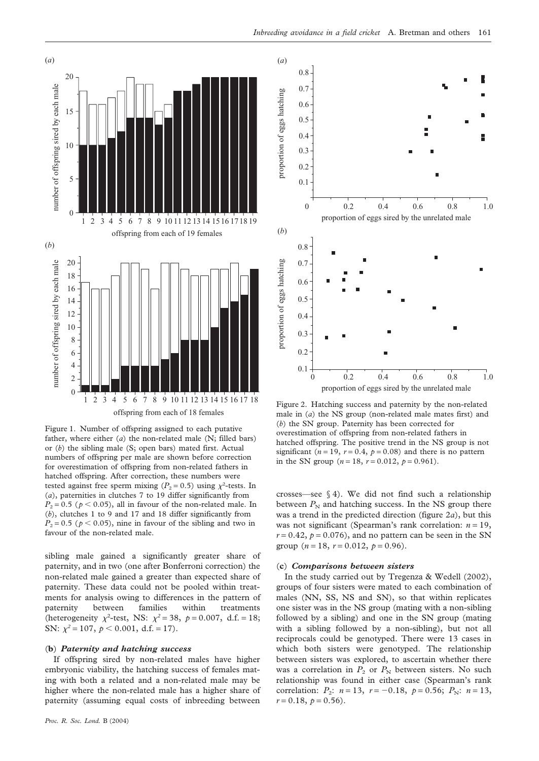



Figure 1. Number of offspring assigned to each putative father, where either (*a*) the non-related male (N; filled bars) or (*b*) the sibling male (S; open bars) mated first. Actual numbers of offspring per male are shown before correction for overestimation of offspring from non-related fathers in hatched offspring. After correction, these numbers were tested against free sperm mixing ( $P_2 = 0.5$ ) using  $\chi^2$ -tests. In (*a*), paternities in clutches 7 to 19 differ significantly from  $P_2 = 0.5$  ( $p < 0.05$ ), all in favour of the non-related male. In (*b*), clutches 1 to 9 and 17 and 18 differ significantly from  $P_2 = 0.5$  ( $p < 0.05$ ), nine in favour of the sibling and two in favour of the non-related male.

sibling male gained a significantly greater share of paternity, and in two (one after Bonferroni correction) the non-related male gained a greater than expected share of paternity. These data could not be pooled within treatments for analysis owing to differences in the pattern of paternity between families within treatments (heterogeneity  $\chi^2$ -test, NS:  $\chi^2 = 38$ ,  $p = 0.007$ , d.f. = 18; SN:  $\chi^2 = 107$ ,  $p < 0.001$ , d.f. = 17).

## (**b**) *Paternity and hatching success*

If offspring sired by non-related males have higher embryonic viability, the hatching success of females mating with both a related and a non-related male may be higher where the non-related male has a higher share of paternity (assuming equal costs of inbreeding between



Figure 2. Hatching success and paternity by the non-related male in (*a*) the NS group (non-related male mates first) and (*b*) the SN group. Paternity has been corrected for overestimation of offspring from non-related fathers in hatched offspring. The positive trend in the NS group is not significant ( $n = 19$ ,  $r = 0.4$ ,  $p = 0.08$ ) and there is no pattern in the SN group  $(n = 18, r = 0.012, p = 0.961)$ .

crosses—see § 4). We did not find such a relationship between  $P_N$  and hatching success. In the NS group there was a trend in the predicted direction (figure 2*a*), but this was not significant (Spearman's rank correlation: *n* = 19,  $r = 0.42$ ,  $p = 0.076$ , and no pattern can be seen in the SN group  $(n = 18, r = 0.012, p = 0.96)$ .

#### (**c**) *Comparisons between sisters*

In the study carried out by Tregenza & Wedell (2002), groups of four sisters were mated to each combination of males (NN, SS, NS and SN), so that within replicates one sister was in the NS group (mating with a non-sibling followed by a sibling) and one in the SN group (mating with a sibling followed by a non-sibling), but not all reciprocals could be genotyped. There were 13 cases in which both sisters were genotyped. The relationship between sisters was explored, to ascertain whether there was a correlation in  $P_2$  or  $P_N$  between sisters. No such relationship was found in either case (Spearman's rank correlation:  $P_2$ :  $n = 13$ ,  $r = -0.18$ ,  $p = 0.56$ ;  $P_N$ :  $n = 13$ ,  $r = 0.18$ ,  $p = 0.56$ ).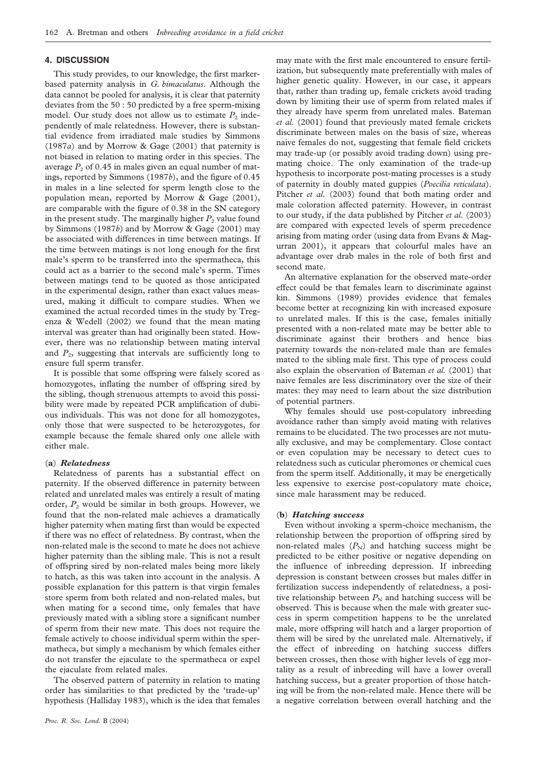#### **4. DISCUSSION**

This study provides, to our knowledge, the first markerbased paternity analysis in *G. bimaculatus*. Although the data cannot be pooled for analysis, it is clear that paternity deviates from the 50 : 50 predicted by a free sperm-mixing model. Our study does not allow us to estimate  $P_2$  independently of male relatedness. However, there is substantial evidence from irradiated male studies by Simmons (1987*a*) and by Morrow & Gage (2001) that paternity is not biased in relation to mating order in this species. The average  $P_2$  of 0.45 in males given an equal number of matings, reported by Simmons (1987*b*), and the figure of 0.45 in males in a line selected for sperm length close to the population mean, reported by Morrow & Gage (2001), are comparable with the figure of 0.38 in the SN category in the present study. The marginally higher  $P_2$  value found by Simmons (1987*b*) and by Morrow & Gage (2001) may be associated with differences in time between matings. If the time between matings is not long enough for the first male's sperm to be transferred into the spermatheca, this could act as a barrier to the second male's sperm. Times between matings tend to be quoted as those anticipated in the experimental design, rather than exact values measured, making it difficult to compare studies. When we examined the actual recorded times in the study by Tregenza & Wedell (2002) we found that the mean mating interval was greater than had originally been stated. However, there was no relationship between mating interval and  $P_2$ , suggesting that intervals are sufficiently long to ensure full sperm transfer.

It is possible that some offspring were falsely scored as homozygotes, inflating the number of offspring sired by the sibling, though strenuous attempts to avoid this possibility were made by repeated PCR amplification of dubious individuals. This was not done for all homozygotes, only those that were suspected to be heterozygotes, for example because the female shared only one allele with either male.

#### (**a**) *Relatedness*

Relatedness of parents has a substantial effect on paternity. If the observed difference in paternity between related and unrelated males was entirely a result of mating order,  $P_2$  would be similar in both groups. However, we found that the non-related male achieves a dramatically higher paternity when mating first than would be expected if there was no effect of relatedness. By contrast, when the non-related male is the second to mate he does not achieve higher paternity than the sibling male. This is not a result of offspring sired by non-related males being more likely to hatch, as this was taken into account in the analysis. A possible explanation for this pattern is that virgin females store sperm from both related and non-related males, but when mating for a second time, only females that have previously mated with a sibling store a significant number of sperm from their new mate. This does not require the female actively to choose individual sperm within the spermatheca, but simply a mechanism by which females either do not transfer the ejaculate to the spermatheca or expel the ejaculate from related males.

The observed pattern of paternity in relation to mating order has similarities to that predicted by the 'trade-up' hypothesis (Halliday 1983), which is the idea that females

*Proc. R. Soc. Lond.* B (2004)

may mate with the first male encountered to ensure fertilization, but subsequently mate preferentially with males of higher genetic quality. However, in our case, it appears that, rather than trading up, female crickets avoid trading down by limiting their use of sperm from related males if they already have sperm from unrelated males. Bateman *et al.* (2001) found that previously mated female crickets discriminate between males on the basis of size, whereas naive females do not, suggesting that female field crickets may trade-up (or possibly avoid trading down) using premating choice. The only examination of the trade-up hypothesis to incorporate post-mating processes is a study of paternity in doubly mated guppies (*Poecilia reticulata*). Pitcher *et al.* (2003) found that both mating order and male coloration affected paternity. However, in contrast to our study, if the data published by Pitcher *et al.* (2003) are compared with expected levels of sperm precedence arising from mating order (using data from Evans & Magurran 2001), it appears that colourful males have an advantage over drab males in the role of both first and second mate.

An alternative explanation for the observed mate-order effect could be that females learn to discriminate against kin. Simmons (1989) provides evidence that females become better at recognizing kin with increased exposure to unrelated males. If this is the case, females initially presented with a non-related mate may be better able to discriminate against their brothers and hence bias paternity towards the non-related male than are females mated to the sibling male first. This type of process could also explain the observation of Bateman *et al.* (2001) that naive females are less discriminatory over the size of their mates: they may need to learn about the size distribution of potential partners.

Why females should use post-copulatory inbreeding avoidance rather than simply avoid mating with relatives remains to be elucidated. The two processes are not mutually exclusive, and may be complementary. Close contact or even copulation may be necessary to detect cues to relatedness such as cuticular pheromones or chemical cues from the sperm itself. Additionally, it may be energetically less expensive to exercise post-copulatory mate choice, since male harassment may be reduced.

#### (**b**) *Hatching success*

Even without invoking a sperm-choice mechanism, the relationship between the proportion of offspring sired by non-related males  $(P_N)$  and hatching success might be predicted to be either positive or negative depending on the influence of inbreeding depression. If inbreeding depression is constant between crosses but males differ in fertilization success independently of relatedness, a positive relationship between  $P_N$  and hatching success will be observed. This is because when the male with greater success in sperm competition happens to be the unrelated male, more offspring will hatch and a larger proportion of them will be sired by the unrelated male. Alternatively, if the effect of inbreeding on hatching success differs between crosses, then those with higher levels of egg mortality as a result of inbreeding will have a lower overall hatching success, but a greater proportion of those hatching will be from the non-related male. Hence there will be a negative correlation between overall hatching and the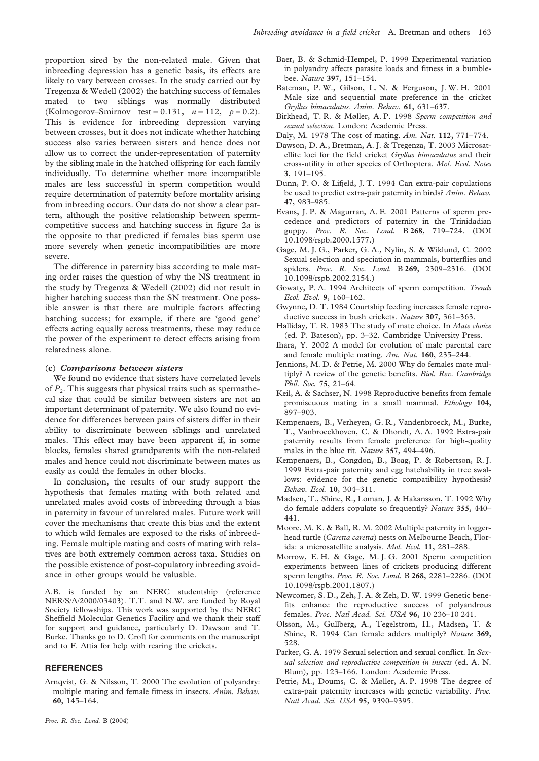proportion sired by the non-related male. Given that inbreeding depression has a genetic basis, its effects are likely to vary between crosses. In the study carried out by Tregenza & Wedell (2002) the hatching success of females mated to two siblings was normally distributed (Kolmogorov–Smirnov test = 0.131,  $n = 112$ ,  $p = 0.2$ ). This is evidence for inbreeding depression varying between crosses, but it does not indicate whether hatching success also varies between sisters and hence does not allow us to correct the under-representation of paternity by the sibling male in the hatched offspring for each family individually. To determine whether more incompatible males are less successful in sperm competition would require determination of paternity before mortality arising from inbreeding occurs. Our data do not show a clear pattern, although the positive relationship between spermcompetitive success and hatching success in figure 2*a* is the opposite to that predicted if females bias sperm use more severely when genetic incompatibilities are more severe.

The difference in paternity bias according to male mating order raises the question of why the NS treatment in the study by Tregenza & Wedell (2002) did not result in higher hatching success than the SN treatment. One possible answer is that there are multiple factors affecting hatching success; for example, if there are 'good gene' effects acting equally across treatments, these may reduce the power of the experiment to detect effects arising from relatedness alone.

### (**c**) *Comparisons between sisters*

We found no evidence that sisters have correlated levels of  $P_2$ . This suggests that physical traits such as spermathecal size that could be similar between sisters are not an important determinant of paternity. We also found no evidence for differences between pairs of sisters differ in their ability to discriminate between siblings and unrelated males. This effect may have been apparent if, in some blocks, females shared grandparents with the non-related males and hence could not discriminate between mates as easily as could the females in other blocks.

In conclusion, the results of our study support the hypothesis that females mating with both related and unrelated males avoid costs of inbreeding through a bias in paternity in favour of unrelated males. Future work will cover the mechanisms that create this bias and the extent to which wild females are exposed to the risks of inbreeding. Female multiple mating and costs of mating with relatives are both extremely common across taxa. Studies on the possible existence of post-copulatory inbreeding avoidance in other groups would be valuable.

A.B. is funded by an NERC studentship (reference NER/S/A/2000/03403). T.T. and N.W. are funded by Royal Society fellowships. This work was supported by the NERC Sheffield Molecular Genetics Facility and we thank their staff for support and guidance, particularly D. Dawson and T. Burke. Thanks go to D. Croft for comments on the manuscript and to F. Attia for help with rearing the crickets.

#### **REFERENCES**

Arnqvist, G. & Nilsson, T. 2000 The evolution of polyandry: multiple mating and female fitness in insects. *Anim. Behav.* **60**, 145–164.

- Baer, B. & Schmid-Hempel, P. 1999 Experimental variation in polyandry affects parasite loads and fitness in a bumblebee. *Nature* **397**, 151–154.
- Bateman, P. W., Gilson, L. N. & Ferguson, J. W. H. 2001 Male size and sequential mate preference in the cricket *Gryllus bimaculatus*. *Anim. Behav.* **61**, 631–637.
- Birkhead, T. R. & Møller, A. P. 1998 *Sperm competition and sexual selection*. London: Academic Press.
- Daly, M. 1978 The cost of mating. *Am. Nat.* **112**, 771–774.
- Dawson, D. A., Bretman, A. J. & Tregenza, T. 2003 Microsatellite loci for the field cricket *Gryllus bimaculatus* and their cross-utility in other species of Orthoptera. *Mol. Ecol. Notes* **3**, 191–195.
- Dunn, P. O. & Lifjeld, J. T. 1994 Can extra-pair copulations be used to predict extra-pair paternity in birds? *Anim. Behav.* **47**, 983–985.
- Evans, J. P. & Magurran, A. E. 2001 Patterns of sperm precedence and predictors of paternity in the Trinidadian guppy. *Proc. R. Soc. Lond.* B **268**, 719–724. (DOI 10.1098/rspb.2000.1577.)
- Gage, M. J. G., Parker, G. A., Nylin, S. & Wiklund, C. 2002 Sexual selection and speciation in mammals, butterflies and spiders. *Proc. R. Soc. Lond.* B **269**, 2309–2316. (DOI 10.1098/rspb.2002.2154.)
- Gowaty, P. A. 1994 Architects of sperm competition. *Trends Ecol. Evol.* **9**, 160–162.
- Gwynne, D. T. 1984 Courtship feeding increases female reproductive success in bush crickets. *Nature* **307**, 361–363.
- Halliday, T. R. 1983 The study of mate choice. In *Mate choice* (ed. P. Bateson), pp. 3–32. Cambridge University Press.
- Ihara, Y. 2002 A model for evolution of male parental care and female multiple mating. *Am. Nat.* **160**, 235–244.
- Jennions, M. D. & Petrie, M. 2000 Why do females mate multiply? A review of the genetic benefits. *Biol. Rev. Cambridge Phil. Soc.* **75**, 21–64.
- Keil, A. & Sachser, N. 1998 Reproductive benefits from female promiscuous mating in a small mammal. *Ethology* **104**, 897–903.
- Kempenaers, B., Verheyen, G. R., Vandenbroeck, M., Burke, T., Vanbroeckhoven, C. & Dhondt, A. A. 1992 Extra-pair paternity results from female preference for high-quality males in the blue tit. *Nature* **357**, 494–496.
- Kempenaers, B., Congdon, B., Boag, P. & Robertson, R. J. 1999 Extra-pair paternity and egg hatchability in tree swallows: evidence for the genetic compatibility hypothesis? *Behav. Ecol.* **10**, 304–311.
- Madsen, T., Shine, R., Loman, J. & Hakansson, T. 1992 Why do female adders copulate so frequently? *Nature* **355**, 440– 441.
- Moore, M. K. & Ball, R. M. 2002 Multiple paternity in loggerhead turtle (*Caretta caretta*) nests on Melbourne Beach, Florida: a microsatellite analysis. *Mol. Ecol.* **11**, 281–288.
- Morrow, E. H. & Gage, M. J. G. 2001 Sperm competition experiments between lines of crickets producing different sperm lengths. *Proc. R. Soc. Lond.* B **268**, 2281–2286. (DOI 10.1098/rspb.2001.1807.)
- Newcomer, S. D., Zeh, J. A. & Zeh, D. W. 1999 Genetic benefits enhance the reproductive success of polyandrous females. *Proc. Natl Acad. Sci. USA* **96**, 10 236–10 241.
- Olsson, M., Gullberg, A., Tegelstrom, H., Madsen, T. & Shine, R. 1994 Can female adders multiply? *Nature* **369**, 528.
- Parker, G. A. 1979 Sexual selection and sexual conflict. In *Sexual selection and reproductive competition in insects* (ed. A. N. Blum), pp. 123–166. London: Academic Press.
- Petrie, M., Doums, C. & Møller, A. P. 1998 The degree of extra-pair paternity increases with genetic variability. *Proc. Natl Acad. Sci. USA* **95**, 9390–9395.